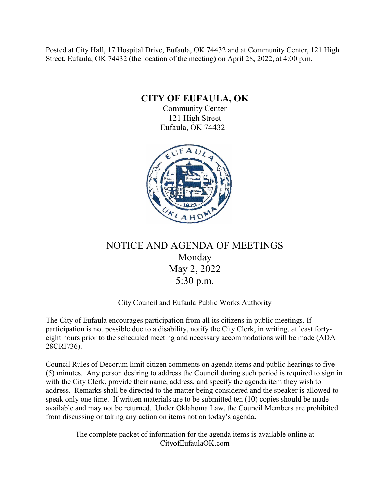Posted at City Hall, 17 Hospital Drive, Eufaula, OK 74432 and at Community Center, 121 High Street, Eufaula, OK 74432 (the location of the meeting) on April 28, 2022, at 4:00 p.m.

**CITY OF EUFAULA, OK**

Community Center 121 High Street Eufaula, OK 74432



# NOTICE AND AGENDA OF MEETINGS Monday May 2, 2022 5:30 p.m.

# City Council and Eufaula Public Works Authority

The City of Eufaula encourages participation from all its citizens in public meetings. If participation is not possible due to a disability, notify the City Clerk, in writing, at least fortyeight hours prior to the scheduled meeting and necessary accommodations will be made (ADA 28CRF/36).

Council Rules of Decorum limit citizen comments on agenda items and public hearings to five (5) minutes. Any person desiring to address the Council during such period is required to sign in with the City Clerk, provide their name, address, and specify the agenda item they wish to address. Remarks shall be directed to the matter being considered and the speaker is allowed to speak only one time. If written materials are to be submitted ten (10) copies should be made available and may not be returned. Under Oklahoma Law, the Council Members are prohibited from discussing or taking any action on items not on today's agenda.

The complete packet of information for the agenda items is available online at CityofEufaulaOK.com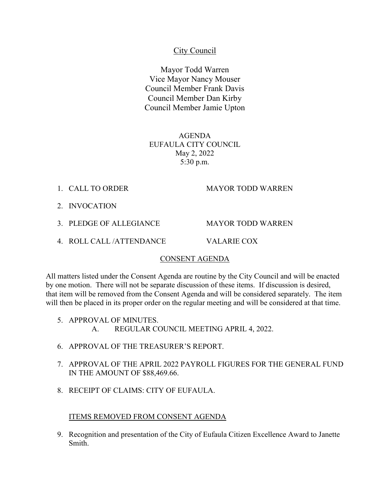# City Council

Mayor Todd Warren Vice Mayor Nancy Mouser Council Member Frank Davis Council Member Dan Kirby Council Member Jamie Upton

AGENDA EUFAULA CITY COUNCIL May 2, 2022 5:30 p.m.

1. CALL TO ORDER MAYOR TODD WARREN

- 2. INVOCATION
- 3. PLEDGE OF ALLEGIANCE MAYOR TODD WARREN
- 4. ROLL CALL /ATTENDANCE VALARIE COX

#### CONSENT AGENDA

All matters listed under the Consent Agenda are routine by the City Council and will be enacted by one motion. There will not be separate discussion of these items. If discussion is desired, that item will be removed from the Consent Agenda and will be considered separately. The item will then be placed in its proper order on the regular meeting and will be considered at that time.

- 5. APPROVAL OF MINUTES. A. REGULAR COUNCIL MEETING APRIL 4, 2022.
- 6. APPROVAL OF THE TREASURER'S REPORT.
- 7. APPROVAL OF THE APRIL 2022 PAYROLL FIGURES FOR THE GENERAL FUND IN THE AMOUNT OF \$88,469.66.
- 8. RECEIPT OF CLAIMS: CITY OF EUFAULA.

#### ITEMS REMOVED FROM CONSENT AGENDA

9. Recognition and presentation of the City of Eufaula Citizen Excellence Award to Janette Smith.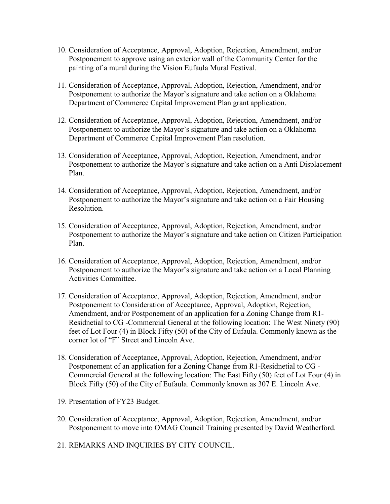- 10. Consideration of Acceptance, Approval, Adoption, Rejection, Amendment, and/or Postponement to approve using an exterior wall of the Community Center for the painting of a mural during the Vision Eufaula Mural Festival.
- 11. Consideration of Acceptance, Approval, Adoption, Rejection, Amendment, and/or Postponement to authorize the Mayor's signature and take action on a Oklahoma Department of Commerce Capital Improvement Plan grant application.
- 12. Consideration of Acceptance, Approval, Adoption, Rejection, Amendment, and/or Postponement to authorize the Mayor's signature and take action on a Oklahoma Department of Commerce Capital Improvement Plan resolution.
- 13. Consideration of Acceptance, Approval, Adoption, Rejection, Amendment, and/or Postponement to authorize the Mayor's signature and take action on a Anti Displacement Plan.
- 14. Consideration of Acceptance, Approval, Adoption, Rejection, Amendment, and/or Postponement to authorize the Mayor's signature and take action on a Fair Housing Resolution.
- 15. Consideration of Acceptance, Approval, Adoption, Rejection, Amendment, and/or Postponement to authorize the Mayor's signature and take action on Citizen Participation Plan.
- 16. Consideration of Acceptance, Approval, Adoption, Rejection, Amendment, and/or Postponement to authorize the Mayor's signature and take action on a Local Planning Activities Committee.
- 17. Consideration of Acceptance, Approval, Adoption, Rejection, Amendment, and/or Postponement to Consideration of Acceptance, Approval, Adoption, Rejection, Amendment, and/or Postponement of an application for a Zoning Change from R1- Residnetial to CG -Commercial General at the following location: The West Ninety (90) feet of Lot Four (4) in Block Fifty (50) of the City of Eufaula. Commonly known as the corner lot of "F" Street and Lincoln Ave.
- 18. Consideration of Acceptance, Approval, Adoption, Rejection, Amendment, and/or Postponement of an application for a Zoning Change from R1-Residnetial to CG - Commercial General at the following location: The East Fifty (50) feet of Lot Four (4) in Block Fifty (50) of the City of Eufaula. Commonly known as 307 E. Lincoln Ave.
- 19. Presentation of FY23 Budget.
- 20. Consideration of Acceptance, Approval, Adoption, Rejection, Amendment, and/or Postponement to move into OMAG Council Training presented by David Weatherford.
- 21. REMARKS AND INQUIRIES BY CITY COUNCIL.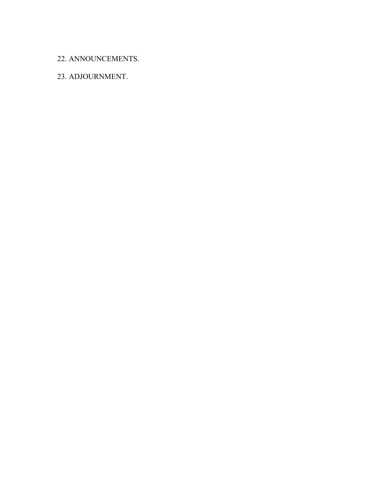## 22. ANNOUNCEMENTS.

# 23. ADJOURNMENT.